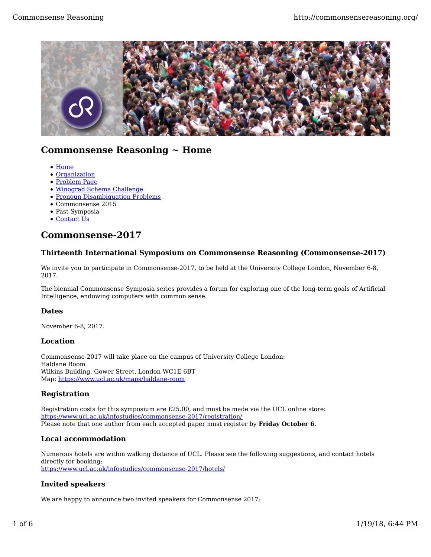

# **Commonsense Reasoning ~ Home**

- Home
- Organization
- Problem Page
- Winograd Schema Challenge
- Pronoun Disambiguation Problems
- Commonsense 2015
- Past Symposia
- Contact Us

# **Commonsense-2017**

# **Thirteenth International Symposium on Commonsense Reasoning (Commonsense-2017)**

We invite you to participate in Commonsense-2017, to be held at the University College London, November 6-8, 2017.

The biennial Commonsense Symposia series provides a forum for exploring one of the long-term goals of Artificial Intelligence, endowing computers with common sense.

# **Dates**

November 6-8, 2017.

## **Location**

Commonsense-2017 will take place on the campus of University College London: Haldane Room Wilkins Building, Gower Street, London WC1E 6BT Map: https://www.ucl.ac.uk/maps/haldane-room

# **Registration**

Registration costs for this symposium are £25.00, and must be made via the UCL online store: https://www.ucl.ac.uk/infostudies/commonsense-2017/registration/ Please note that one author from each accepted paper must register by **Friday October 6**.

# **Local accommodation**

Numerous hotels are within walking distance of UCL. Please see the following suggestions, and contact hotels directly for booking: https://www.ucl.ac.uk/infostudies/commonsense-2017/hotels/

# **Invited speakers**

We are happy to announce two invited speakers for Commonsense 2017: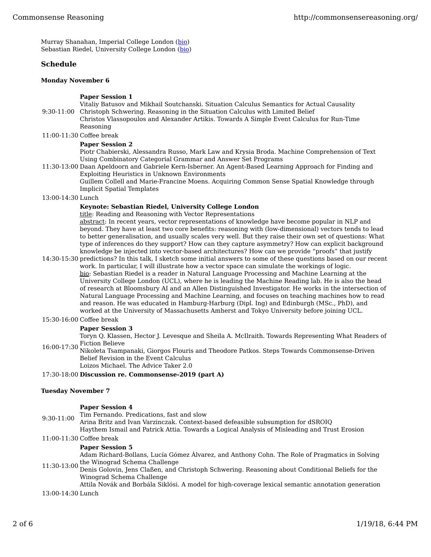Murray Shanahan, Imperial College London (bio) Sebastian Riedel, University College London (bio)

## **Schedule**

#### **Monday November 6**

### **Paper Session 1**

9:30-11:00 Christoph Schwering. Reasoning in the Situation Calculus with Limited Belief Vitaliy Batusov and Mikhail Soutchanski. Situation Calculus Semantics for Actual Causality

- Christos Vlassopoulos and Alexander Artikis. Towards A Simple Event Calculus for Run-Time Reasoning
- 11:00-11:30 Coffee break

#### **Paper Session 2**

Piotr Chabierski, Alessandra Russo, Mark Law and Krysia Broda. Machine Comprehension of Text Using Combinatory Categorial Grammar and Answer Set Programs

11:30-13:00 Daan Apeldoorn and Gabriele Kern-Isberner. An Agent-Based Learning Approach for Finding and Exploiting Heuristics in Unknown Environments

Guillem Collell and Marie-Francine Moens. Acquiring Common Sense Spatial Knowledge through Implicit Spatial Templates

#### 13:00-14:30 Lunch

#### **Keynote: Sebastian Riedel, University College London**

title: Reading and Reasoning with Vector Representations

abstract: In recent years, vector representations of knowledge have become popular in NLP and beyond. They have at least two core benefits: reasoning with (low-dimensional) vectors tends to lead to better generalisation, and usually scales very well. But they raise their own set of questions: What type of inferences do they support? How can they capture asymmetry? How can explicit background knowledge be injected into vector-based architectures? How can we provide "proofs" that justify

14:30-15:30 predictions? In this talk, I sketch some initial answers to some of these questions based on our recent work. In particular, I will illustrate how a vector space can simulate the workings of logic. bio: Sebastian Riedel is a reader in Natural Language Processing and Machine Learning at the University College London (UCL), where he is leading the Machine Reading lab. He is also the head of research at Bloomsbury AI and an Allen Distinguished Investigator. He works in the intersection of Natural Language Processing and Machine Learning, and focuses on teaching machines how to read and reason. He was educated in Hamburg-Harburg (Dipl. Ing) and Edinburgh (MSc., PhD), and worked at the University of Massachusetts Amherst and Tokyo University before joining UCL.

#### 15:30-16:00 Coffee break

#### **Paper Session 3**

16:00-17:30 Fiction Believe Toryn Q. Klassen, Hector J. Levesque and Sheila A. McIlraith. Towards Representing What Readers of

Nikoleta Tsampanaki, Giorgos Flouris and Theodore Patkos. Steps Towards Commonsense-Driven Belief Revision in the Event Calculus

Loizos Michael. The Advice Taker 2.0

#### 17:30-18:00 **Discussion re. Commonsense-2019 (part A)**

#### **Tuesday November 7**

#### **Paper Session 4**

9:30-11:00 Tim Fernando. Predications, fast and slow Arina Britz and Ivan Varzinczak. Context-based defeasible subsumption for dSROIQ

Haythem Ismail and Patrick Attia. Towards a Logical Analysis of Misleading and Trust Erosion 11:00-11:30 Coffee break

#### **Paper Session 5**

11:30-13:00 the Winograd Schema Challenge Adam Richard-Bollans, Lucía Gómez Álvarez, and Anthony Cohn. The Role of Pragmatics in Solving

Denis Golovin, Jens Claßen, and Christoph Schwering. Reasoning about Conditional Beliefs for the Winograd Schema Challenge

Attila Novák and Borbála Siklósi. A model for high-coverage lexical semantic annotation generation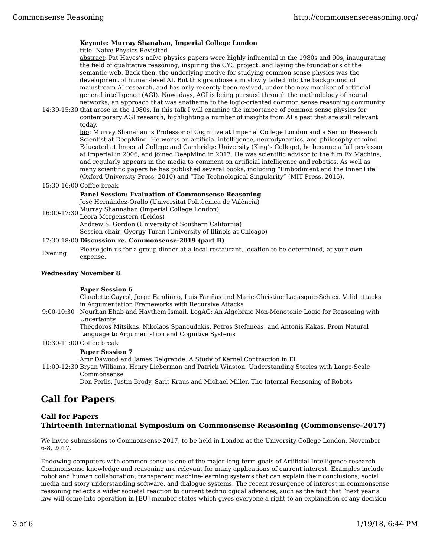### **Keynote: Murray Shanahan, Imperial College London**

title: Naive Physics Revisited

abstract: Pat Hayes's naïve physics papers were highly influential in the 1980s and 90s, inaugurating the field of qualitative reasoning, inspiring the CYC project, and laying the foundations of the semantic web. Back then, the underlying motive for studying common sense physics was the development of human-level AI. But this grandiose aim slowly faded into the background of mainstream AI research, and has only recently been revived, under the new moniker of artificial general intelligence (AGI). Nowadays, AGI is being pursued through the methodology of neural networks, an approach that was anathama to the logic-oriented common sense reasoning community

14:30-15:30 that arose in the 1980s. In this talk I will examine the importance of common sense physics for contemporary AGI research, highlighting a number of insights from AI's past that are still relevant today.

bio: Murray Shanahan is Professor of Cognitive at Imperial College London and a Senior Research Scientist at DeepMind. He works on artificial intelligence, neurodynamics, and philosophy of mind. Educated at Imperial College and Cambridge University (King's College), he became a full professor at Imperial in 2006, and joined DeepMind in 2017. He was scientific advisor to the film Ex Machina, and regularly appears in the media to comment on artificial intelligence and robotics. As well as many scientific papers he has published several books, including "Embodiment and the Inner Life" (Oxford University Press, 2010) and "The Technological Singularity" (MIT Press, 2015).

15:30-16:00 Coffee break

#### **Panel Session: Evaluation of Commonsense Reasoning**

16:00-17:30 Murray Shannahan (Imperial College London) José Hernández-Orallo (Universitat Politècnica de València) Leora Morgenstern (Leidos) Andrew S. Gordon (University of Southern California)

Session chair: Gyorgy Turan (University of Illinois at Chicago)

## 17:30-18:00 **Discussion re. Commonsense-2019 (part B)**

Evening Please join us for a group dinner at a local restaurant, location to be determined, at your own expense.

#### **Wednesday November 8**

#### **Paper Session 6**

Claudette Cayrol, Jorge Fandinno, Luis Fariñas and Marie-Christine Lagasquie-Schiex. Valid attacks in Argumentation Frameworks with Recursive Attacks

9:00-10:30 Nourhan Ehab and Haythem Ismail. LogAG: An Algebraic Non-Monotonic Logic for Reasoning with Uncertainty

Theodoros Mitsikas, Nikolaos Spanoudakis, Petros Stefaneas, and Antonis Kakas. From Natural Language to Argumentation and Cognitive Systems

10:30-11:00 Coffee break

#### **Paper Session 7**

Amr Dawood and James Delgrande. A Study of Kernel Contraction in EL

11:00-12:30 Bryan Williams, Henry Lieberman and Patrick Winston. Understanding Stories with Large-Scale Commonsense

Don Perlis, Justin Brody, Sarit Kraus and Michael Miller. The Internal Reasoning of Robots

# **Call for Papers**

## **Call for Papers Thirteenth International Symposium on Commonsense Reasoning (Commonsense-2017)**

We invite submissions to Commonsense-2017, to be held in London at the University College London, November 6-8, 2017.

Endowing computers with common sense is one of the major long-term goals of Artificial Intelligence research. Commonsense knowledge and reasoning are relevant for many applications of current interest. Examples include robot and human collaboration, transparent machine-learning systems that can explain their conclusions, social media and story understanding software, and dialogue systems. The recent resurgence of interest in commonsense reasoning reflects a wider societal reaction to current technological advances, such as the fact that "next year a law will come into operation in [EU] member states which gives everyone a right to an explanation of any decision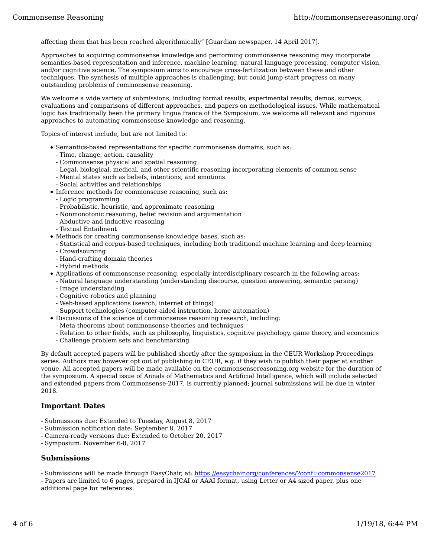affecting them that has been reached algorithmically" [Guardian newspaper, 14 April 2017].

Approaches to acquiring commonsense knowledge and performing commonsense reasoning may incorporate semantics-based representation and inference, machine learning, natural language processing, computer vision, and/or cognitive science. The symposium aims to encourage cross-fertilization between these and other techniques. The synthesis of multiple approaches is challenging, but could jump-start progress on many outstanding problems of commonsense reasoning.

We welcome a wide variety of submissions, including formal results, experimental results, demos, surveys, evaluations and comparisons of different approaches, and papers on methodological issues. While mathematical logic has traditionally been the primary lingua franca of the Symposium, we welcome all relevant and rigorous approaches to automating commonsense knowledge and reasoning.

Topics of interest include, but are not limited to:

- Semantics-based representations for specific commonsense domains, such as:
	- Time, change, action, causality
	- Commonsense physical and spatial reasoning
	- Legal, biological, medical, and other scientific reasoning incorporating elements of common sense
	- Mental states such as beliefs, intentions, and emotions
	- Social activities and relationships
- Inference methods for commonsense reasoning, such as:
	- Logic programming
	- Probabilistic, heuristic, and approximate reasoning
	- Nonmonotonic reasoning, belief revision and argumentation
	- Abductive and inductive reasoning
	- Textual Entailment
- Methods for creating commonsense knowledge bases, such as:
	- Statistical and corpus-based techniques, including both traditional machine learning and deep learning
	- Crowdsourcing
	- Hand-crafting domain theories
	- Hybrid methods
- Applications of commonsense reasoning, especially interdisciplinary research in the following areas:
	- Natural language understanding (understanding discourse, question answering, semantic parsing)
	- Image understanding
	- Cognitive robotics and planning
	- Web-based applications (search, internet of things)
	- Support technologies (computer-aided instruction, home automation)
- Discussions of the science of commonsense reasoning research, including:
	- Meta-theorems about commonsense theories and techniques
	- Relation to other fields, such as philosophy, linguistics, cognitive psychology, game theory, and economics
	- Challenge problem sets and benchmarking

By default accepted papers will be published shortly after the symposium in the CEUR Workshop Proceedings series. Authors may however opt out of publishing in CEUR, e.g. if they wish to publish their paper at another venue. All accepted papers will be made available on the commonsensereasoning.org website for the duration of the symposium. A special issue of Annals of Mathematics and Artificial Intelligence, which will include selected and extended papers from Commonsense-2017, is currently planned; journal submissions will be due in winter 2018.

## **Important Dates**

- Submissions due: Extended to Tuesday, August 8, 2017
- Submission notification date: September 8, 2017
- Camera-ready versions due: Extended to October 20, 2017
- Symposium: November 6-8, 2017

## **Submissions**

- Submissions will be made through EasyChair, at: https://easychair.org/conferences/?conf=commonsense2017

- Papers are limited to 6 pages, prepared in IJCAI or AAAI format, using Letter or A4 sized paper, plus one additional page for references.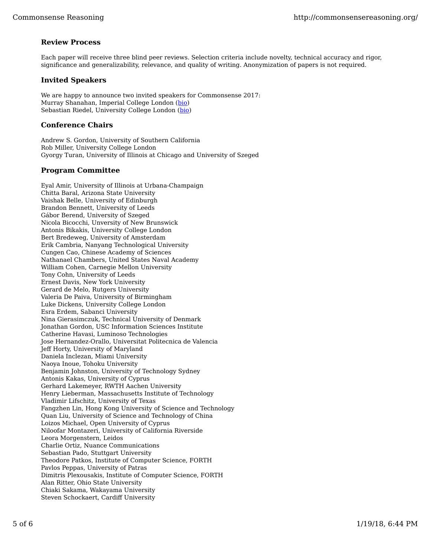# **Review Process**

Each paper will receive three blind peer reviews. Selection criteria include novelty, technical accuracy and rigor, significance and generalizability, relevance, and quality of writing. Anonymization of papers is not required.

## **Invited Speakers**

We are happy to announce two invited speakers for Commonsense 2017: Murray Shanahan, Imperial College London (bio) Sebastian Riedel, University College London (bio)

## **Conference Chairs**

Andrew S. Gordon, University of Southern California Rob Miller, University College London Gyorgy Turan, University of Illinois at Chicago and University of Szeged

## **Program Committee**

Eyal Amir, University of Illinois at Urbana-Champaign Chitta Baral, Arizona State University Vaishak Belle, University of Edinburgh Brandon Bennett, University of Leeds Gábor Berend, University of Szeged Nicola Bicocchi, Unversity of New Brunswick Antonis Bikakis, University College London Bert Bredeweg, University of Amsterdam Erik Cambria, Nanyang Technological University Cungen Cao, Chinese Academy of Sciences Nathanael Chambers, United States Naval Academy William Cohen, Carnegie Mellon University Tony Cohn, University of Leeds Ernest Davis, New York University Gerard de Melo, Rutgers University Valeria De Paiva, University of Birmingham Luke Dickens, University College London Esra Erdem, Sabanci University Nina Gierasimczuk, Technical University of Denmark Jonathan Gordon, USC Information Sciences Institute Catherine Havasi, Luminoso Technologies Jose Hernandez-Orallo, Universitat Politecnica de Valencia Jeff Horty, University of Maryland Daniela Inclezan, Miami University Naoya Inoue, Tohoku University Benjamin Johnston, University of Technology Sydney Antonis Kakas, University of Cyprus Gerhard Lakemeyer, RWTH Aachen University Henry Lieberman, Massachusetts Institute of Technology Vladimir Lifschitz, University of Texas Fangzhen Lin, Hong Kong University of Science and Technology Quan Liu, University of Science and Technology of China Loizos Michael, Open University of Cyprus Niloofar Montazeri, University of California Riverside Leora Morgenstern, Leidos Charlie Ortiz, Nuance Communications Sebastian Pado, Stuttgart University Theodore Patkos, Institute of Computer Science, FORTH Pavlos Peppas, University of Patras Dimitris Plexousakis, Institute of Computer Science, FORTH Alan Ritter, Ohio State University Chiaki Sakama, Wakayama University Steven Schockaert, Cardiff University